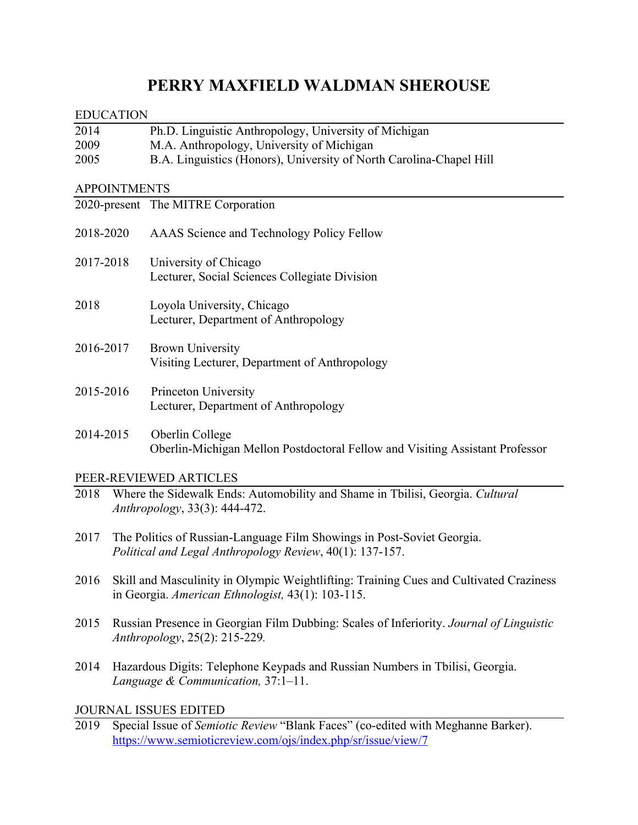# **PERRY MAXFIELD WALDMAN SHEROUSE**

|                                               | <b>EDUCATION</b>                                                                                                                            |                                                                                                                                                  |  |  |  |
|-----------------------------------------------|---------------------------------------------------------------------------------------------------------------------------------------------|--------------------------------------------------------------------------------------------------------------------------------------------------|--|--|--|
| 2014                                          |                                                                                                                                             | Ph.D. Linguistic Anthropology, University of Michigan                                                                                            |  |  |  |
| 2009                                          |                                                                                                                                             | M.A. Anthropology, University of Michigan                                                                                                        |  |  |  |
| 2005                                          |                                                                                                                                             | B.A. Linguistics (Honors), University of North Carolina-Chapel Hill                                                                              |  |  |  |
|                                               | <b>APPOINTMENTS</b>                                                                                                                         |                                                                                                                                                  |  |  |  |
|                                               |                                                                                                                                             | 2020-present The MITRE Corporation                                                                                                               |  |  |  |
| 2018-2020                                     |                                                                                                                                             | AAAS Science and Technology Policy Fellow                                                                                                        |  |  |  |
| 2017-2018                                     |                                                                                                                                             | University of Chicago<br>Lecturer, Social Sciences Collegiate Division                                                                           |  |  |  |
| 2018                                          |                                                                                                                                             | Loyola University, Chicago<br>Lecturer, Department of Anthropology                                                                               |  |  |  |
| 2016-2017                                     |                                                                                                                                             | <b>Brown University</b><br>Visiting Lecturer, Department of Anthropology                                                                         |  |  |  |
| 2015-2016                                     |                                                                                                                                             | Princeton University<br>Lecturer, Department of Anthropology                                                                                     |  |  |  |
| 2014-2015                                     |                                                                                                                                             | Oberlin College<br>Oberlin-Michigan Mellon Postdoctoral Fellow and Visiting Assistant Professor                                                  |  |  |  |
|                                               |                                                                                                                                             | PEER-REVIEWED ARTICLES                                                                                                                           |  |  |  |
| 2018                                          |                                                                                                                                             | Where the Sidewalk Ends: Automobility and Shame in Tbilisi, Georgia. Cultural<br>Anthropology, 33(3): 444-472.                                   |  |  |  |
| 2017                                          | The Politics of Russian-Language Film Showings in Post-Soviet Georgia.<br>Political and Legal Anthropology Review, 40(1): 137-157.          |                                                                                                                                                  |  |  |  |
| 2016                                          | Skill and Masculinity in Olympic Weightlifting: Training Cues and Cultivated Craziness<br>in Georgia. American Ethnologist, 43(1): 103-115. |                                                                                                                                                  |  |  |  |
| 2015                                          | Russian Presence in Georgian Film Dubbing: Scales of Inferiority. Journal of Linguistic<br>Anthropology, 25(2): 215-229.                    |                                                                                                                                                  |  |  |  |
| 2014<br>Language & Communication, $37:1-11$ . |                                                                                                                                             | Hazardous Digits: Telephone Keypads and Russian Numbers in Tbilisi, Georgia.                                                                     |  |  |  |
| <b>JOURNAL ISSUES EDITED</b>                  |                                                                                                                                             |                                                                                                                                                  |  |  |  |
| 2019                                          |                                                                                                                                             | Special Issue of Semiotic Review "Blank Faces" (co-edited with Meghanne Barker).<br>https://www.semioticreview.com/ojs/index.php/sr/issue/view/7 |  |  |  |
|                                               |                                                                                                                                             |                                                                                                                                                  |  |  |  |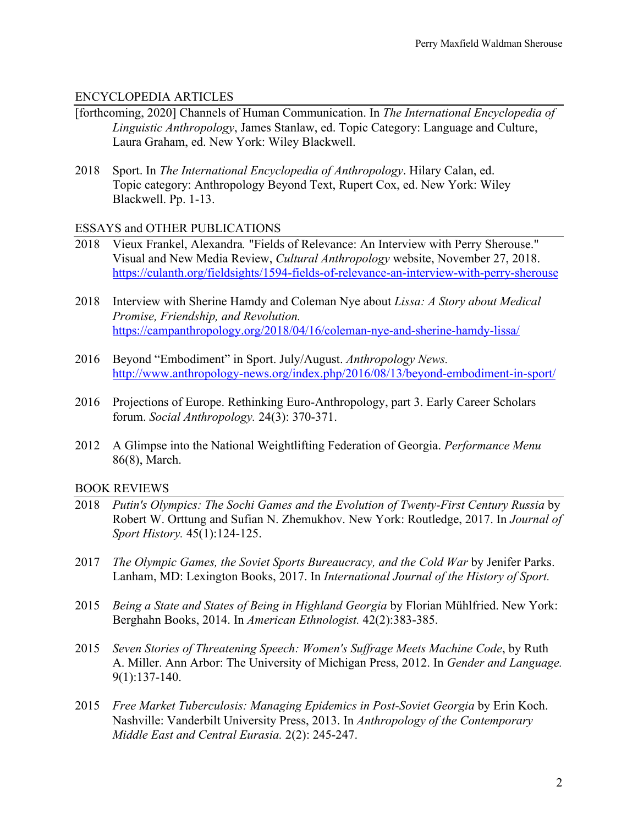## ENCYCLOPEDIA ARTICLES

- [forthcoming, 2020] Channels of Human Communication. In *The International Encyclopedia of Linguistic Anthropology*, James Stanlaw, ed. Topic Category: Language and Culture, Laura Graham, ed. New York: Wiley Blackwell.
- 2018 Sport. In *The International Encyclopedia of Anthropology*. Hilary Calan, ed. Topic category: Anthropology Beyond Text, Rupert Cox, ed. New York: Wiley Blackwell. Pp. 1-13.

## ESSAYS and OTHER PUBLICATIONS

- 2018 Vieux Frankel, Alexandra*.* "Fields of Relevance: An Interview with Perry Sherouse." Visual and New Media Review, *Cultural Anthropology* website, November 27, 2018. https://culanth.org/fieldsights/1594-fields-of-relevance-an-interview-with-perry-sherouse
- 2018 Interview with Sherine Hamdy and Coleman Nye about *Lissa: A Story about Medical Promise, Friendship, and Revolution.* https://campanthropology.org/2018/04/16/coleman-nye-and-sherine-hamdy-lissa/
- 2016 Beyond "Embodiment" in Sport. July/August. *Anthropology News.* http://www.anthropology-news.org/index.php/2016/08/13/beyond-embodiment-in-sport/
- 2016 Projections of Europe. Rethinking Euro-Anthropology, part 3. Early Career Scholars forum. *Social Anthropology.* 24(3): 370-371.
- 2012 A Glimpse into the National Weightlifting Federation of Georgia. *Performance Menu*  86(8), March.

# BOOK REVIEWS

- 2018 *Putin's Olympics: The Sochi Games and the Evolution of Twenty-First Century Russia* by Robert W. Orttung and Sufian N. Zhemukhov. New York: Routledge, 2017. In *Journal of Sport History.* 45(1):124-125.
- 2017 *The Olympic Games, the Soviet Sports Bureaucracy, and the Cold War by Jenifer Parks.* Lanham, MD: Lexington Books, 2017. In *International Journal of the History of Sport.*
- 2015 *Being a State and States of Being in Highland Georgia* by Florian Mühlfried. New York: Berghahn Books, 2014. In *American Ethnologist.* 42(2):383-385.
- 2015 *Seven Stories of Threatening Speech: Women's Suffrage Meets Machine Code*, by Ruth A. Miller. Ann Arbor: The University of Michigan Press, 2012. In *Gender and Language.* 9(1):137-140.
- 2015 *Free Market Tuberculosis: Managing Epidemics in Post-Soviet Georgia* by Erin Koch. Nashville: Vanderbilt University Press, 2013. In *Anthropology of the Contemporary Middle East and Central Eurasia.* 2(2): 245-247.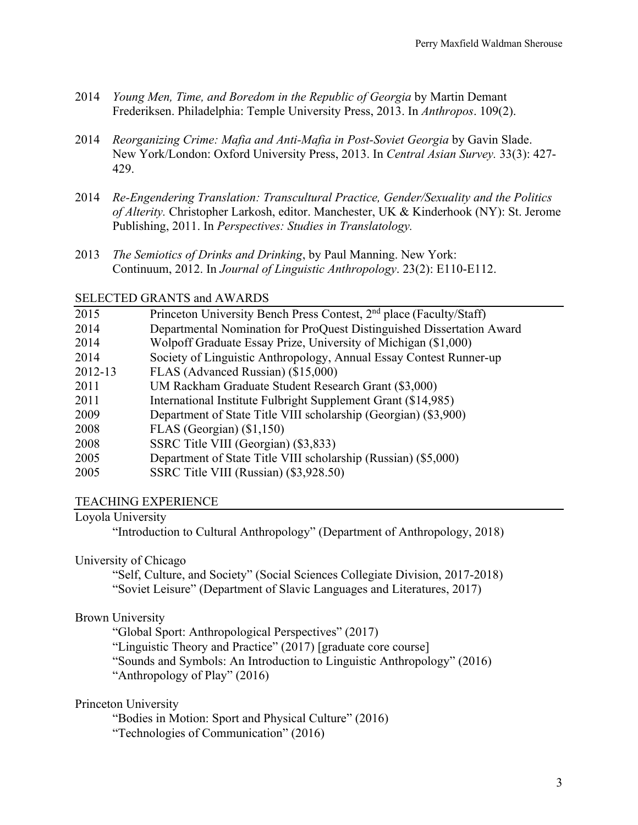- 2014 *Young Men, Time, and Boredom in the Republic of Georgia* by Martin Demant Frederiksen. Philadelphia: Temple University Press, 2013. In *Anthropos*. 109(2).
- 2014 *Reorganizing Crime: Mafia and Anti-Mafia in Post-Soviet Georgia* by Gavin Slade. New York/London: Oxford University Press, 2013. In *Central Asian Survey.* 33(3): 427- 429.
- 2014 *Re-Engendering Translation: Transcultural Practice, Gender/Sexuality and the Politics of Alterity.* Christopher Larkosh, editor. Manchester, UK & Kinderhook (NY): St. Jerome Publishing, 2011. In *Perspectives: Studies in Translatology.*
- 2013 *The Semiotics of Drinks and Drinking*, by Paul Manning. New York: Continuum, 2012. In *Journal of Linguistic Anthropology*. 23(2): E110-E112.

## SELECTED GRANTS and AWARDS

| 2015    | Princeton University Bench Press Contest, 2 <sup>nd</sup> place (Faculty/Staff) |
|---------|---------------------------------------------------------------------------------|
| 2014    | Departmental Nomination for ProQuest Distinguished Dissertation Award           |
| 2014    | Wolpoff Graduate Essay Prize, University of Michigan (\$1,000)                  |
| 2014    | Society of Linguistic Anthropology, Annual Essay Contest Runner-up              |
| 2012-13 | FLAS (Advanced Russian) (\$15,000)                                              |
| 2011    | UM Rackham Graduate Student Research Grant (\$3,000)                            |
| 2011    | International Institute Fulbright Supplement Grant (\$14,985)                   |
| 2009    | Department of State Title VIII scholarship (Georgian) (\$3,900)                 |
| 2008    | FLAS (Georgian) $(\$1,150)$                                                     |
| 2008    | SSRC Title VIII (Georgian) (\$3,833)                                            |
| 2005    | Department of State Title VIII scholarship (Russian) (\$5,000)                  |
| 2005    | SSRC Title VIII (Russian) (\$3,928.50)                                          |

#### TEACHING EXPERIENCE

#### Loyola University

"Introduction to Cultural Anthropology" (Department of Anthropology, 2018)

#### University of Chicago

"Self, Culture, and Society" (Social Sciences Collegiate Division, 2017-2018) "Soviet Leisure" (Department of Slavic Languages and Literatures, 2017)

# Brown University

"Global Sport: Anthropological Perspectives" (2017) "Linguistic Theory and Practice" (2017) [graduate core course] "Sounds and Symbols: An Introduction to Linguistic Anthropology" (2016) "Anthropology of Play" (2016)

Princeton University

"Bodies in Motion: Sport and Physical Culture" (2016) "Technologies of Communication" (2016)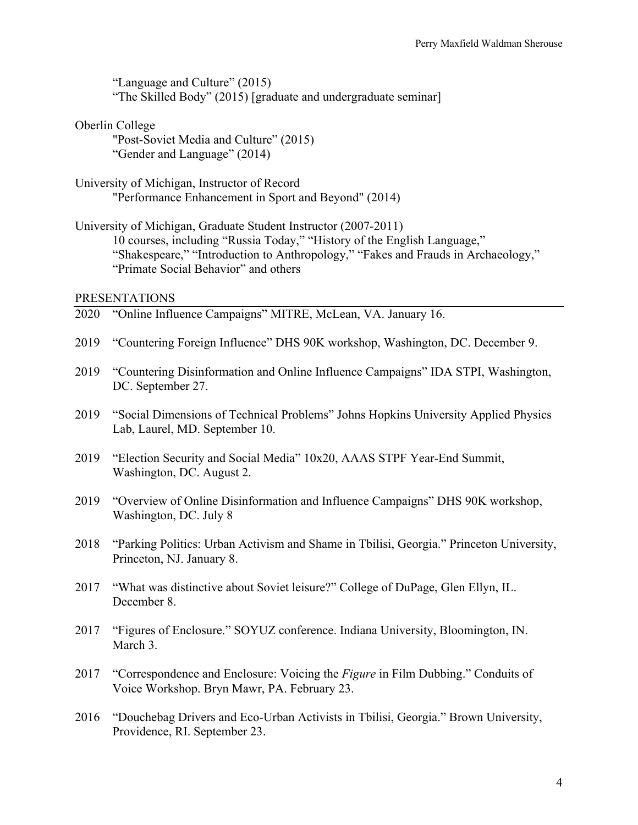"Language and Culture" (2015) "The Skilled Body" (2015) [graduate and undergraduate seminar]

Oberlin College

"Post-Soviet Media and Culture" (2015) "Gender and Language" (2014)

University of Michigan, Instructor of Record "Performance Enhancement in Sport and Beyond" (2014)

University of Michigan, Graduate Student Instructor (2007-2011) 10 courses, including "Russia Today," "History of the English Language," "Shakespeare," "Introduction to Anthropology," "Fakes and Frauds in Archaeology," "Primate Social Behavior" and others

#### PRESENTATIONS

- 2020 "Online Influence Campaigns" MITRE, McLean, VA. January 16.
- 2019 "Countering Foreign Influence" DHS 90K workshop, Washington, DC. December 9.
- 2019 "Countering Disinformation and Online Influence Campaigns" IDA STPI, Washington, DC. September 27.
- 2019 "Social Dimensions of Technical Problems" Johns Hopkins University Applied Physics Lab, Laurel, MD. September 10.
- 2019 "Election Security and Social Media" 10x20, AAAS STPF Year-End Summit, Washington, DC. August 2.
- 2019 "Overview of Online Disinformation and Influence Campaigns" DHS 90K workshop, Washington, DC. July 8
- 2018 "Parking Politics: Urban Activism and Shame in Tbilisi, Georgia." Princeton University, Princeton, NJ. January 8.
- 2017 "What was distinctive about Soviet leisure?" College of DuPage, Glen Ellyn, IL. December 8.
- 2017 "Figures of Enclosure." SOYUZ conference. Indiana University, Bloomington, IN. March 3.
- 2017 "Correspondence and Enclosure: Voicing the *Figure* in Film Dubbing." Conduits of Voice Workshop. Bryn Mawr, PA. February 23.
- 2016 "Douchebag Drivers and Eco-Urban Activists in Tbilisi, Georgia." Brown University, Providence, RI. September 23.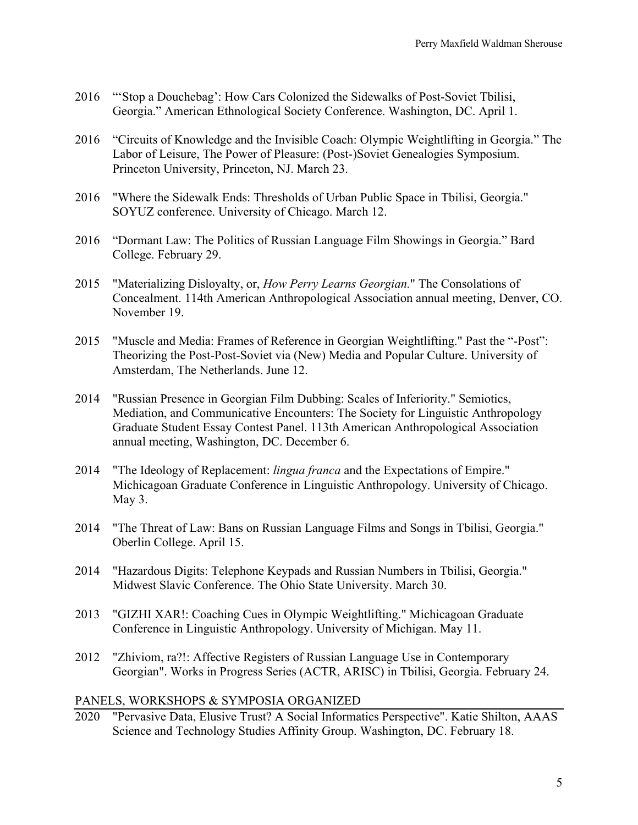- 2016 "'Stop a Douchebag': How Cars Colonized the Sidewalks of Post-Soviet Tbilisi, Georgia." American Ethnological Society Conference. Washington, DC. April 1.
- 2016 "Circuits of Knowledge and the Invisible Coach: Olympic Weightlifting in Georgia." The Labor of Leisure, The Power of Pleasure: (Post-)Soviet Genealogies Symposium. Princeton University, Princeton, NJ. March 23.
- 2016 "Where the Sidewalk Ends: Thresholds of Urban Public Space in Tbilisi, Georgia." SOYUZ conference. University of Chicago. March 12.
- 2016 "Dormant Law: The Politics of Russian Language Film Showings in Georgia." Bard College. February 29.
- 2015 "Materializing Disloyalty, or, *How Perry Learns Georgian.*" The Consolations of Concealment. 114th American Anthropological Association annual meeting, Denver, CO. November 19.
- 2015 "Muscle and Media: Frames of Reference in Georgian Weightlifting." Past the "-Post": Theorizing the Post-Post-Soviet via (New) Media and Popular Culture. University of Amsterdam, The Netherlands. June 12.
- 2014 "Russian Presence in Georgian Film Dubbing: Scales of Inferiority." Semiotics, Mediation, and Communicative Encounters: The Society for Linguistic Anthropology Graduate Student Essay Contest Panel. 113th American Anthropological Association annual meeting, Washington, DC. December 6.
- 2014 "The Ideology of Replacement: *lingua franca* and the Expectations of Empire." Michicagoan Graduate Conference in Linguistic Anthropology. University of Chicago. May 3.
- 2014 "The Threat of Law: Bans on Russian Language Films and Songs in Tbilisi, Georgia." Oberlin College. April 15.
- 2014 "Hazardous Digits: Telephone Keypads and Russian Numbers in Tbilisi, Georgia." Midwest Slavic Conference. The Ohio State University. March 30.
- 2013 "GIZHI XAR!: Coaching Cues in Olympic Weightlifting." Michicagoan Graduate Conference in Linguistic Anthropology. University of Michigan. May 11.
- 2012 "Zhiviom, ra?!: Affective Registers of Russian Language Use in Contemporary Georgian". Works in Progress Series (ACTR, ARISC) in Tbilisi, Georgia. February 24.

#### PANELS, WORKSHOPS & SYMPOSIA ORGANIZED

2020 "Pervasive Data, Elusive Trust? A Social Informatics Perspective". Katie Shilton, AAAS Science and Technology Studies Affinity Group. Washington, DC. February 18.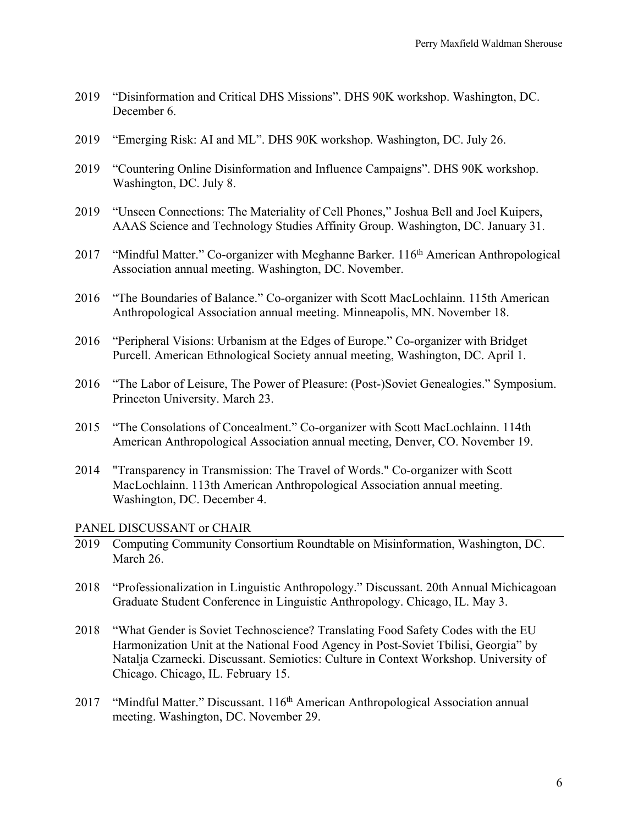- 2019 "Disinformation and Critical DHS Missions". DHS 90K workshop. Washington, DC. December 6.
- 2019 "Emerging Risk: AI and ML". DHS 90K workshop. Washington, DC. July 26.
- 2019 "Countering Online Disinformation and Influence Campaigns". DHS 90K workshop. Washington, DC. July 8.
- 2019 "Unseen Connections: The Materiality of Cell Phones," Joshua Bell and Joel Kuipers, AAAS Science and Technology Studies Affinity Group. Washington, DC. January 31.
- 2017 "Mindful Matter." Co-organizer with Meghanne Barker. 116<sup>th</sup> American Anthropological Association annual meeting. Washington, DC. November.
- 2016 "The Boundaries of Balance." Co-organizer with Scott MacLochlainn. 115th American Anthropological Association annual meeting. Minneapolis, MN. November 18.
- 2016 "Peripheral Visions: Urbanism at the Edges of Europe." Co-organizer with Bridget Purcell. American Ethnological Society annual meeting, Washington, DC. April 1.
- 2016 "The Labor of Leisure, The Power of Pleasure: (Post-)Soviet Genealogies." Symposium. Princeton University. March 23.
- 2015 "The Consolations of Concealment." Co-organizer with Scott MacLochlainn. 114th American Anthropological Association annual meeting, Denver, CO. November 19.
- 2014 "Transparency in Transmission: The Travel of Words." Co-organizer with Scott MacLochlainn. 113th American Anthropological Association annual meeting. Washington, DC. December 4.

PANEL DISCUSSANT or CHAIR

- 2019 Computing Community Consortium Roundtable on Misinformation, Washington, DC. March 26.
- 2018 "Professionalization in Linguistic Anthropology." Discussant. 20th Annual Michicagoan Graduate Student Conference in Linguistic Anthropology. Chicago, IL. May 3.
- 2018 "What Gender is Soviet Technoscience? Translating Food Safety Codes with the EU Harmonization Unit at the National Food Agency in Post-Soviet Tbilisi, Georgia" by Natalja Czarnecki. Discussant. Semiotics: Culture in Context Workshop. University of Chicago. Chicago, IL. February 15.
- 2017 "Mindful Matter." Discussant. 116<sup>th</sup> American Anthropological Association annual meeting. Washington, DC. November 29.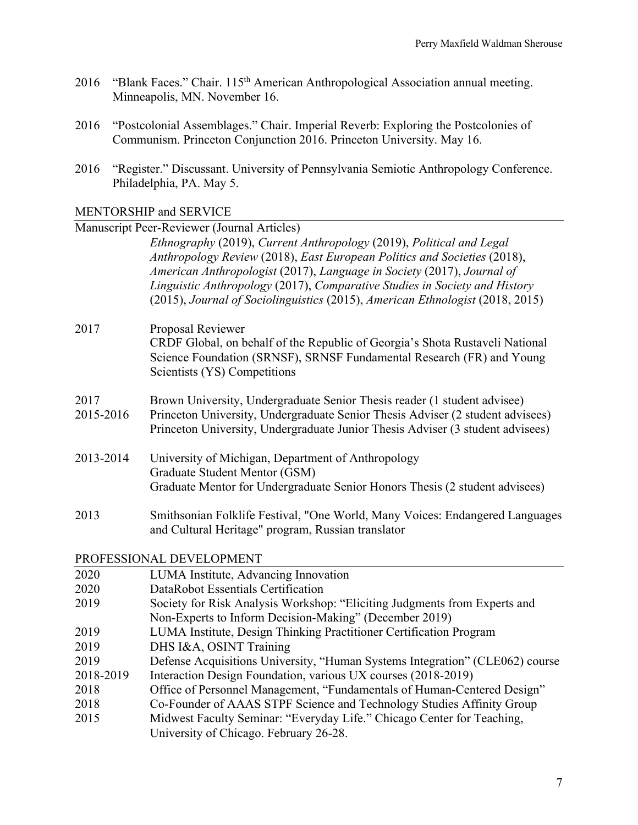- 2016 "Blank Faces." Chair. 115<sup>th</sup> American Anthropological Association annual meeting. Minneapolis, MN. November 16.
- 2016 "Postcolonial Assemblages." Chair. Imperial Reverb: Exploring the Postcolonies of Communism. Princeton Conjunction 2016. Princeton University. May 16.
- 2016 "Register." Discussant. University of Pennsylvania Semiotic Anthropology Conference. Philadelphia, PA. May 5.

MENTORSHIP and SERVICE

|                          | Manuscript Peer-Reviewer (Journal Articles)                                                                                                                                                                                                                                                                                                                                               |  |  |  |
|--------------------------|-------------------------------------------------------------------------------------------------------------------------------------------------------------------------------------------------------------------------------------------------------------------------------------------------------------------------------------------------------------------------------------------|--|--|--|
|                          | Ethnography (2019), Current Anthropology (2019), Political and Legal<br>Anthropology Review (2018), East European Politics and Societies (2018),<br>American Anthropologist (2017), Language in Society (2017), Journal of<br>Linguistic Anthropology (2017), Comparative Studies in Society and History<br>(2015), Journal of Sociolinguistics (2015), American Ethnologist (2018, 2015) |  |  |  |
|                          |                                                                                                                                                                                                                                                                                                                                                                                           |  |  |  |
| 2017                     | Proposal Reviewer<br>CRDF Global, on behalf of the Republic of Georgia's Shota Rustaveli National<br>Science Foundation (SRNSF), SRNSF Fundamental Research (FR) and Young<br>Scientists (YS) Competitions                                                                                                                                                                                |  |  |  |
| 2017<br>2015-2016        | Brown University, Undergraduate Senior Thesis reader (1 student advisee)<br>Princeton University, Undergraduate Senior Thesis Adviser (2 student advisees)<br>Princeton University, Undergraduate Junior Thesis Adviser (3 student advisees)                                                                                                                                              |  |  |  |
| 2013-2014                | University of Michigan, Department of Anthropology<br>Graduate Student Mentor (GSM)<br>Graduate Mentor for Undergraduate Senior Honors Thesis (2 student advisees)                                                                                                                                                                                                                        |  |  |  |
| 2013                     | Smithsonian Folklife Festival, "One World, Many Voices: Endangered Languages<br>and Cultural Heritage" program, Russian translator                                                                                                                                                                                                                                                        |  |  |  |
| PROFESSIONAL DEVELOPMENT |                                                                                                                                                                                                                                                                                                                                                                                           |  |  |  |
| 2020                     | LUMA Institute, Advancing Innovation                                                                                                                                                                                                                                                                                                                                                      |  |  |  |
| 2020                     | DataRobot Essentials Certification                                                                                                                                                                                                                                                                                                                                                        |  |  |  |
| 2019                     | Society for Risk Analysis Workshop: "Eliciting Judgments from Experts and<br>Non-Experts to Inform Decision-Making" (December 2019)                                                                                                                                                                                                                                                       |  |  |  |
| 2019                     | LUMA Institute, Design Thinking Practitioner Certification Program                                                                                                                                                                                                                                                                                                                        |  |  |  |
| 2019                     | DHS I&A, OSINT Training                                                                                                                                                                                                                                                                                                                                                                   |  |  |  |
| 2019                     | Defense Acquisitions University, "Human Systems Integration" (CLE062) course                                                                                                                                                                                                                                                                                                              |  |  |  |
| 2018-2019                | Interaction Design Foundation, various UX courses (2018-2019)                                                                                                                                                                                                                                                                                                                             |  |  |  |
| 2018                     | Office of Personnel Management, "Fundamentals of Human-Centered Design"                                                                                                                                                                                                                                                                                                                   |  |  |  |
| 2018                     | Co-Founder of AAAS STPF Science and Technology Studies Affinity Group                                                                                                                                                                                                                                                                                                                     |  |  |  |
| 2015                     | Midwest Faculty Seminar: "Everyday Life." Chicago Center for Teaching,<br>University of Chicago. February 26-28.                                                                                                                                                                                                                                                                          |  |  |  |